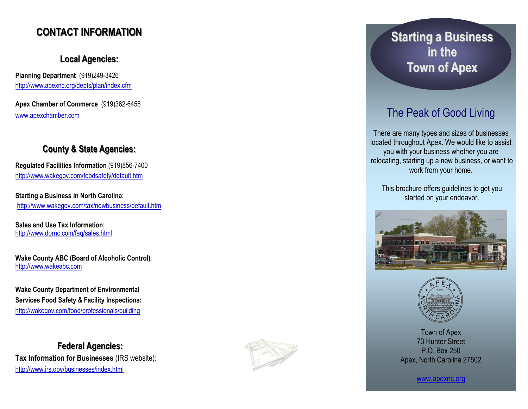## **CONTACT INFORMATION**

#### **Local Agencies:**

**Planning Department** (919)249 -3426 <http://www.apexnc.org/depts/plan/index.cfm>

**Apex Chamber of Commerce** (919)362 -6456 [www.apexchamber.com](http://www.apexchamber.com)

#### **County & State Agencies:**

**Regulated Facilities Information** (919)856 -7400 <http://www.wakegov.com/foodsafety/default.htm>

**Starting a Business in North Carolina**: <http://www.wakegov.com/tax/newbusiness/default.htm>

**Sales and Use Tax Information**: <http://www.dornc.com/faq/sales.html>

**Wake County ABC (Board of Alcoholic Control)**: [http://www.wakeabc.com](http://www.wakeabc.com/)

**Wake County Department of Environmental Services Food Safety & Facility Inspections:** <http://wakegov.com/food/professionals/building>

**Federal Agencies: Tax Information for Businesses** (IRS website): <http://www.irs.gov/businesses/index.html>



# **Starting a Business in the Town of Apex**

## The Peak of Good Living

There are many types and sizes of businesses located throughout Apex. We would like to assist you with your business whether you are relocating, starting up a new business, or want to work from your home.

This brochure offers guidelines to get you started on your endeavor.





Town of Apex 73 Hunter Street P.O. Box 250 Apex, North Carolina 27502

www.apexnc.org